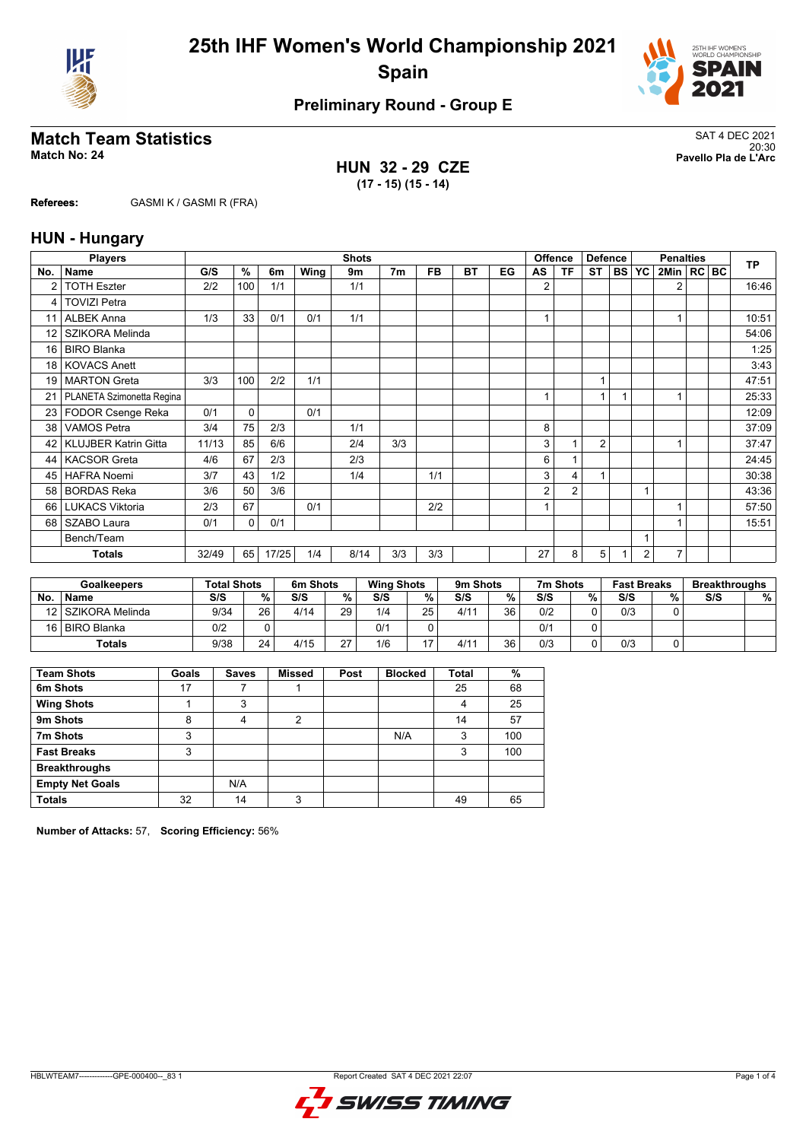



# **Match Team Statistics**<br>Match No: 24<br>Pavello Pla de L'Arc

**HUN 32 - 29 CZE (17 - 15) (15 - 14)**

20:30 **Match No: 24 Pavello Pla de L'Arc**

**Referees:** GASMI K / GASMI R (FRA)

## **HUN - Hungary**

|                 | <b>Players</b>              |       |     |       |      | <b>Shots</b> |                |           |           |    |    | <b>Offence</b> | <b>Defence</b> |           |           | <b>Penalties</b> |  | <b>TP</b> |
|-----------------|-----------------------------|-------|-----|-------|------|--------------|----------------|-----------|-----------|----|----|----------------|----------------|-----------|-----------|------------------|--|-----------|
| No.             | <b>Name</b>                 | G/S   | %   | 6m    | Wing | 9m           | 7 <sub>m</sub> | <b>FB</b> | <b>BT</b> | EG | AS | ΤF             | <b>ST</b>      | <b>BS</b> | <b>YC</b> | 2Min   RC BC     |  |           |
| 2               | <b>TOTH Eszter</b>          | 2/2   | 100 | 1/1   |      | 1/1          |                |           |           |    | 2  |                |                |           |           | 2                |  | 16:46     |
| 4               | <b>TOVIZI Petra</b>         |       |     |       |      |              |                |           |           |    |    |                |                |           |           |                  |  |           |
| 11              | <b>ALBEK Anna</b>           | 1/3   | 33  | 0/1   | 0/1  | 1/1          |                |           |           |    |    |                |                |           |           |                  |  | 10:51     |
| 12              | SZIKORA Melinda             |       |     |       |      |              |                |           |           |    |    |                |                |           |           |                  |  | 54:06     |
| 16              | <b>BIRO Blanka</b>          |       |     |       |      |              |                |           |           |    |    |                |                |           |           |                  |  | 1:25      |
| 18              | <b>KOVACS Anett</b>         |       |     |       |      |              |                |           |           |    |    |                |                |           |           |                  |  | 3:43      |
| 19              | <b>MARTON Greta</b>         | 3/3   | 100 | 2/2   | 1/1  |              |                |           |           |    |    |                | 1              |           |           |                  |  | 47:51     |
| 21              | PLANETA Szimonetta Regina   |       |     |       |      |              |                |           |           |    |    |                | 1              |           |           |                  |  | 25:33     |
| 23 <sub>1</sub> | FODOR Csenge Reka           | 0/1   | 0   |       | 0/1  |              |                |           |           |    |    |                |                |           |           |                  |  | 12:09     |
| 38              | <b>VAMOS Petra</b>          | 3/4   | 75  | 2/3   |      | 1/1          |                |           |           |    | 8  |                |                |           |           |                  |  | 37:09     |
| 42              | <b>KLUJBER Katrin Gitta</b> | 11/13 | 85  | 6/6   |      | 2/4          | 3/3            |           |           |    | 3  |                | $\overline{2}$ |           |           |                  |  | 37:47     |
| 44              | <b>KACSOR Greta</b>         | 4/6   | 67  | 2/3   |      | 2/3          |                |           |           |    | 6  |                |                |           |           |                  |  | 24:45     |
| 45              | <b>HAFRA Noemi</b>          | 3/7   | 43  | 1/2   |      | 1/4          |                | 1/1       |           |    | 3  | 4              |                |           |           |                  |  | 30:38     |
| 58              | <b>BORDAS Reka</b>          | 3/6   | 50  | 3/6   |      |              |                |           |           |    | 2  | $\overline{2}$ |                |           |           |                  |  | 43:36     |
| 66              | <b>LUKACS Viktoria</b>      | 2/3   | 67  |       | 0/1  |              |                | 2/2       |           |    |    |                |                |           |           |                  |  | 57:50     |
| 68              | SZABO Laura                 | 0/1   | 0   | 0/1   |      |              |                |           |           |    |    |                |                |           |           |                  |  | 15:51     |
|                 | Bench/Team                  |       |     |       |      |              |                |           |           |    |    |                |                |           |           |                  |  |           |
|                 | <b>Totals</b>               | 32/49 | 65  | 17/25 | 1/4  | 8/14         | 3/3            | 3/3       |           |    | 27 | 8              | 5              |           | 2         | $\overline{7}$   |  |           |

| <b>Goalkeepers</b> |                    | <b>Total Shots</b> |                 | 6m Shots |    | <b>Wing Shots</b> |                          | 9m Shots |    | 7m Shots |   | <b>Fast Breaks</b> |   | <b>Breakthroughs</b> |   |
|--------------------|--------------------|--------------------|-----------------|----------|----|-------------------|--------------------------|----------|----|----------|---|--------------------|---|----------------------|---|
| <b>No</b>          | <b>Name</b>        | S/S                | %               | S/S      | %  | S/S               | %                        | S/S      | %  | S/S      | % | S/S                | % | S/S                  | % |
|                    | 12 SZIKORA Melinda | 9/34               | 26 <sub>1</sub> | 4/14     | 29 | 1/4               | 25                       | 4/11     | 36 | 0/2      |   | 0/3                |   |                      |   |
|                    | 16 BIRO Blanka     | 0/2                |                 |          |    | 0/1               |                          |          |    | 0/1      |   |                    |   |                      |   |
|                    | Totals             | 9/38               | 24              | 4/15     | 27 | 1/6               | $\overline{\phantom{0}}$ | 4/11     | 36 | 0/3      |   | 0/3                |   |                      |   |

| <b>Team Shots</b>      | Goals | <b>Saves</b> | <b>Missed</b> | Post | <b>Blocked</b> | <b>Total</b> | %   |
|------------------------|-------|--------------|---------------|------|----------------|--------------|-----|
| 6m Shots               | 17    |              |               |      |                | 25           | 68  |
| <b>Wing Shots</b>      |       | 3            |               |      |                | 4            | 25  |
| 9m Shots               | 8     | 4            | 2             |      |                | 14           | 57  |
| 7m Shots               | 3     |              |               |      | N/A            | 3            | 100 |
| <b>Fast Breaks</b>     | 3     |              |               |      |                | 3            | 100 |
| <b>Breakthroughs</b>   |       |              |               |      |                |              |     |
| <b>Empty Net Goals</b> |       | N/A          |               |      |                |              |     |
| <b>Totals</b>          | 32    | 14           | 3             |      |                | 49           | 65  |

**Number of Attacks:** 57, **Scoring Efficiency:** 56%

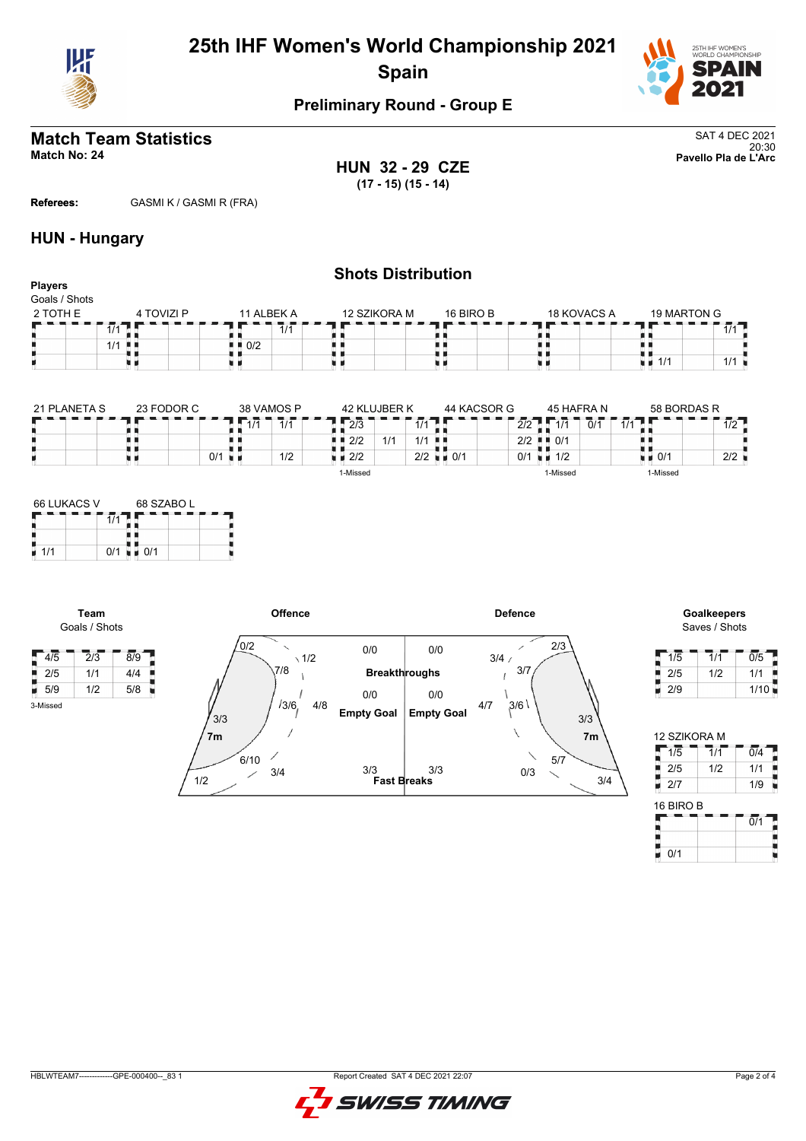



#### **Match Team Statistics** SAT 4 DEC 2021 20:30 **Match No: 24 Pavello Pla de L'Arc**

**HUN 32 - 29 CZE (17 - 15) (15 - 14)**

**Referees:** GASMI K / GASMI R (FRA)

## **HUN - Hungary**

#### **Shots Distribution Players** Goals / Shots 4 TOVIZI P  $\overline{a}$  11 ALBEK A  $2$  TOTH E 12 SZIKORA M 16 BIRO B 18 KOVACS A 19 MARTON G  $\frac{1}{1/1}$ ۲F TГ п  $1/1$  $7/1$ 1/1<br>1/1<br>1/1 1/1 1/1  $\frac{1}{2}$  0/2 8 Œ R,  $1/1$  . ă. u d u e u d u d x

| 21 PLANETA S | 23 FODOR C | 38 VAMOS P                  | 42 KI UJBER K               | 44 KACSOR G              | 45 HAFRA N               | 58 BORDAS R          |
|--------------|------------|-----------------------------|-----------------------------|--------------------------|--------------------------|----------------------|
|              |            | 414<br>1/1                  | $\overline{2}/\overline{3}$ | 414<br>$\mathcal{L}$     | 2/2<br>414<br>0/1        | 10<br>1/1<br>172     |
|              |            |                             | A<br>$1 \cdot 2/2$          | 1/1<br>- 8 1             | $2/2$ $\blacksquare$ 0/1 |                      |
|              |            | 1/2<br>$0/1$ $\blacksquare$ | $\blacksquare$ 2/2          | $2/2$ $\blacksquare$ 0/1 | 0/1<br>1/2               | 2/2<br>$\bullet$ 0/1 |
|              |            |                             | 1-Missed                    |                          | 1-Missed                 | 1-Missed             |

| <b>66 LUKACS V</b> |     | 68 SZABOL |  |  |  |  |  |  |  |
|--------------------|-----|-----------|--|--|--|--|--|--|--|
|                    |     |           |  |  |  |  |  |  |  |
|                    |     |           |  |  |  |  |  |  |  |
| 1/1                | 0/1 | 0/1       |  |  |  |  |  |  |  |

**Team** Goals / Shots

3-Missed



# Saves / Shots

| 1/5 | 1/1 | 0/5  |
|-----|-----|------|
| 2/5 | 1/2 | 1/1  |
| 2/9 |     | 1/10 |

|           | 12 SZIKORA M |     |
|-----------|--------------|-----|
| 1/5       | 1/1          | 0/4 |
| 2/5       | 1/2          | 1/1 |
| 2/7       |              | 1/9 |
| 16 BIRO B |              |     |
|           |              |     |

| <b>16 BIRO B</b> |    |
|------------------|----|
|                  | n/ |
|                  |    |
| 0/1              |    |

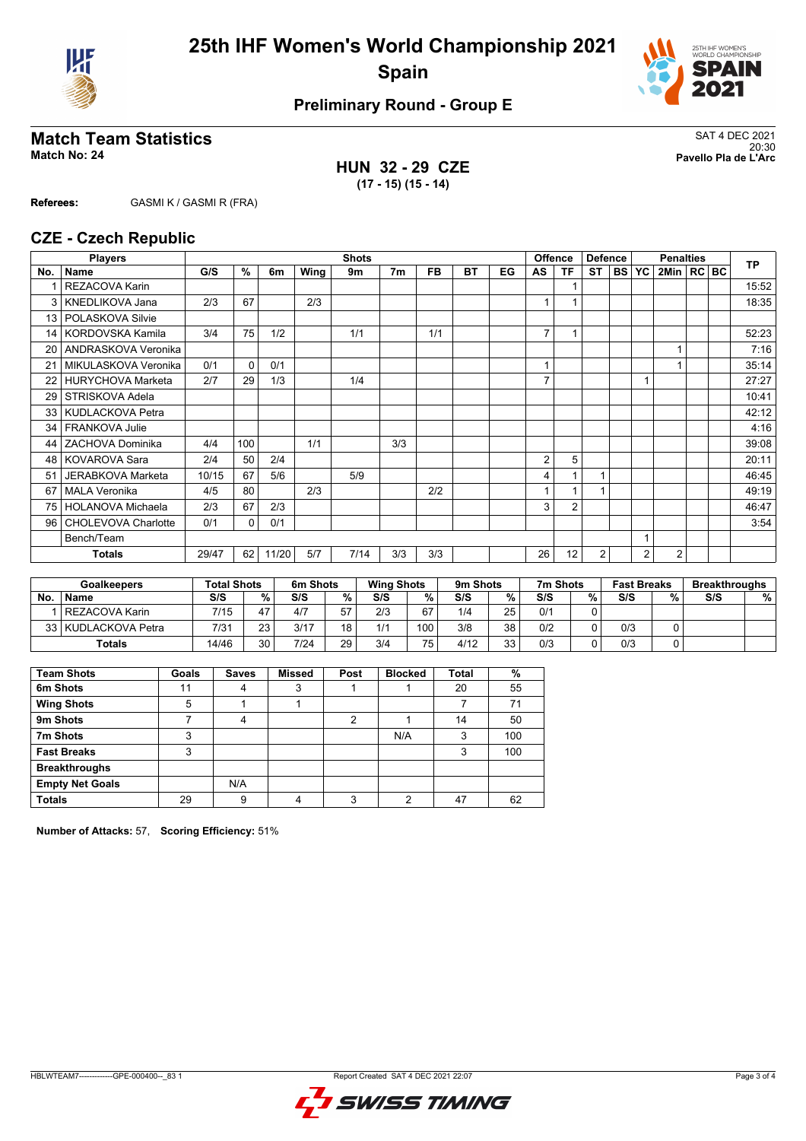



# **Match Team Statistics**<br>Match No: 24<br>Pavello Pla de L'Arc

**HUN 32 - 29 CZE (17 - 15) (15 - 14)**

20:30 **Match No: 24 Pavello Pla de L'Arc**

**Referees:** GASMI K / GASMI R (FRA)

### **CZE - Czech Republic**

|                 | <b>Players</b>           | <b>Shots</b><br><b>Offence</b> |          |       |      |      |                |           |           |    | <b>Defence</b> |                | <b>Penalties</b> |  |         |                | <b>TP</b> |  |       |
|-----------------|--------------------------|--------------------------------|----------|-------|------|------|----------------|-----------|-----------|----|----------------|----------------|------------------|--|---------|----------------|-----------|--|-------|
| No.             | <b>Name</b>              | G/S                            | %        | 6m    | Wing | 9m   | 7 <sub>m</sub> | <b>FB</b> | <b>BT</b> | EG | AS             | TF             | ST               |  | BS   YC | 2Min   RC BC   |           |  |       |
|                 | <b>REZACOVA Karin</b>    |                                |          |       |      |      |                |           |           |    |                |                |                  |  |         |                |           |  | 15:52 |
| 3               | KNEDLIKOVA Jana          | 2/3                            | 67       |       | 2/3  |      |                |           |           |    |                |                |                  |  |         |                |           |  | 18:35 |
| 13              | POLASKOVA Silvie         |                                |          |       |      |      |                |           |           |    |                |                |                  |  |         |                |           |  |       |
| 14              | KORDOVSKA Kamila         | 3/4                            | 75       | 1/2   |      | 1/1  |                | 1/1       |           |    | 7              | 1              |                  |  |         |                |           |  | 52:23 |
| 20              | ANDRASKOVA Veronika      |                                |          |       |      |      |                |           |           |    |                |                |                  |  |         |                |           |  | 7:16  |
| 21              | MIKULASKOVA Veronika     | 0/1                            | $\Omega$ | 0/1   |      |      |                |           |           |    | $\overline{A}$ |                |                  |  |         |                |           |  | 35:14 |
| 22              | <b>HURYCHOVA Marketa</b> | 2/7                            | 29       | 1/3   |      | 1/4  |                |           |           |    | $\overline{7}$ |                |                  |  |         |                |           |  | 27:27 |
| 29              | STRISKOVA Adela          |                                |          |       |      |      |                |           |           |    |                |                |                  |  |         |                |           |  | 10:41 |
| 33 <sub>1</sub> | KUDLACKOVA Petra         |                                |          |       |      |      |                |           |           |    |                |                |                  |  |         |                |           |  | 42:12 |
| 34              | <b>FRANKOVA Julie</b>    |                                |          |       |      |      |                |           |           |    |                |                |                  |  |         |                |           |  | 4:16  |
| 44              | ZACHOVA Dominika         | 4/4                            | 100      |       | 1/1  |      | 3/3            |           |           |    |                |                |                  |  |         |                |           |  | 39:08 |
| 48              | <b>KOVAROVA Sara</b>     | 2/4                            | 50       | 2/4   |      |      |                |           |           |    | 2              | 5              |                  |  |         |                |           |  | 20:11 |
| 51              | JERABKOVA Marketa        | 10/15                          | 67       | 5/6   |      | 5/9  |                |           |           |    | 4              |                |                  |  |         |                |           |  | 46:45 |
| 67              | <b>MALA Veronika</b>     | 4/5                            | 80       |       | 2/3  |      |                | 2/2       |           |    |                |                |                  |  |         |                |           |  | 49:19 |
| 75              | <b>HOLANOVA Michaela</b> | 2/3                            | 67       | 2/3   |      |      |                |           |           |    | 3              | $\overline{2}$ |                  |  |         |                |           |  | 46:47 |
| 96              | CHOLEVOVA Charlotte      | 0/1                            | $\Omega$ | 0/1   |      |      |                |           |           |    |                |                |                  |  |         |                |           |  | 3:54  |
|                 | Bench/Team               |                                |          |       |      |      |                |           |           |    | $\overline{1}$ |                |                  |  |         |                |           |  |       |
|                 | <b>Totals</b>            | 29/47                          | 62       | 11/20 | 5/7  | 7/14 | 3/3            | 3/3       |           |    | 26             | 12             | 2                |  | 2       | $\overline{2}$ |           |  |       |

|           | <b>Goalkeepers</b>  | <b>Total Shots</b> |    | 6m Shots |    | <b>Wing Shots</b> |     | 9m Shots |    | 7m Shots |   | <b>Fast Breaks</b> |   | <b>Breakthroughs</b> |   |
|-----------|---------------------|--------------------|----|----------|----|-------------------|-----|----------|----|----------|---|--------------------|---|----------------------|---|
| <b>No</b> | <b>Name</b>         | S/S                | %. | S/S      | %  | S/S               | %   | S/S      | ℅  | S/S      | % | S/S                | % | S/S                  | % |
|           | I REZACOVA Karin    | 7/15               | 17 | 4/7      | 57 | 2/3               | 67  | 1/4      | 25 | 0/1      |   |                    |   |                      |   |
|           | 33 KUDLACKOVA Petra | 7/31               | 23 | 3/17     | 18 | 1/1               | 100 | 3/8      | 38 | 0/2      |   | 0/3                |   |                      |   |
|           | <b>Totals</b>       | 14/46              | 30 | 7/24     | 29 | 3/4               | 75  | 4/12     | 33 | 0/3      |   | 0/3                |   |                      |   |

| <b>Team Shots</b>      | Goals | <b>Saves</b> | <b>Missed</b> | Post | <b>Blocked</b> | Total | %   |
|------------------------|-------|--------------|---------------|------|----------------|-------|-----|
| 6m Shots               | 11    | 4            | ິ<br>J        |      |                | 20    | 55  |
| <b>Wing Shots</b>      | 5     |              |               |      |                |       | 71  |
| 9m Shots               |       | 4            |               | າ    |                | 14    | 50  |
| 7m Shots               | 3     |              |               |      | N/A            | 3     | 100 |
| <b>Fast Breaks</b>     | 3     |              |               |      |                | 3     | 100 |
| <b>Breakthroughs</b>   |       |              |               |      |                |       |     |
| <b>Empty Net Goals</b> |       | N/A          |               |      |                |       |     |
| <b>Totals</b>          | 29    | 9            |               | 2    | ◠              | 47    | 62  |

**Number of Attacks:** 57, **Scoring Efficiency:** 51%